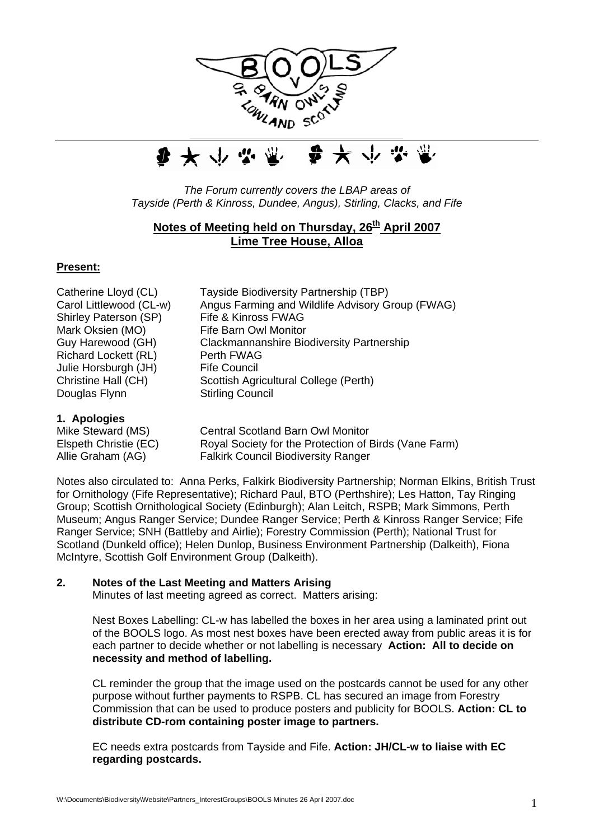



*The Forum currently covers the LBAP areas of Tayside (Perth & Kinross, Dundee, Angus), Stirling, Clacks, and Fife*

# Notes of Meeting held on Thursday, 26<sup>th</sup> April 2007 **Lime Tree House, Alloa**

# **Present:**

Shirley Paterson (SP) Fife & Kinross FWAG Mark Oksien (MO) Fife Barn Owl Monitor Richard Lockett (RL) Perth FWAG Julie Horsburgh (JH) Fife Council Douglas Flynn Stirling Council

Catherine Lloyd (CL) Tayside Biodiversity Partnership (TBP) Carol Littlewood (CL-w) Angus Farming and Wildlife Advisory Group (FWAG) Guy Harewood (GH) Clackmannanshire Biodiversity Partnership Christine Hall (CH) Scottish Agricultural College (Perth)

## **1. Apologies**

Mike Steward (MS) Central Scotland Barn Owl Monitor Elspeth Christie (EC) Royal Society for the Protection of Birds (Vane Farm) Allie Graham (AG) Falkirk Council Biodiversity Ranger

Notes also circulated to: Anna Perks, Falkirk Biodiversity Partnership; Norman Elkins, British Trust for Ornithology (Fife Representative); Richard Paul, BTO (Perthshire); Les Hatton, Tay Ringing Group; Scottish Ornithological Society (Edinburgh); Alan Leitch, RSPB; Mark Simmons, Perth Museum; Angus Ranger Service; Dundee Ranger Service; Perth & Kinross Ranger Service; Fife Ranger Service; SNH (Battleby and Airlie); Forestry Commission (Perth); National Trust for Scotland (Dunkeld office); Helen Dunlop, Business Environment Partnership (Dalkeith), Fiona McIntyre, Scottish Golf Environment Group (Dalkeith).

# **2. Notes of the Last Meeting and Matters Arising**

Minutes of last meeting agreed as correct. Matters arising:

Nest Boxes Labelling: CL-w has labelled the boxes in her area using a laminated print out of the BOOLS logo. As most nest boxes have been erected away from public areas it is for each partner to decide whether or not labelling is necessary **Action: All to decide on necessity and method of labelling.** 

CL reminder the group that the image used on the postcards cannot be used for any other purpose without further payments to RSPB. CL has secured an image from Forestry Commission that can be used to produce posters and publicity for BOOLS. **Action: CL to distribute CD-rom containing poster image to partners.** 

EC needs extra postcards from Tayside and Fife. **Action: JH/CL-w to liaise with EC regarding postcards.**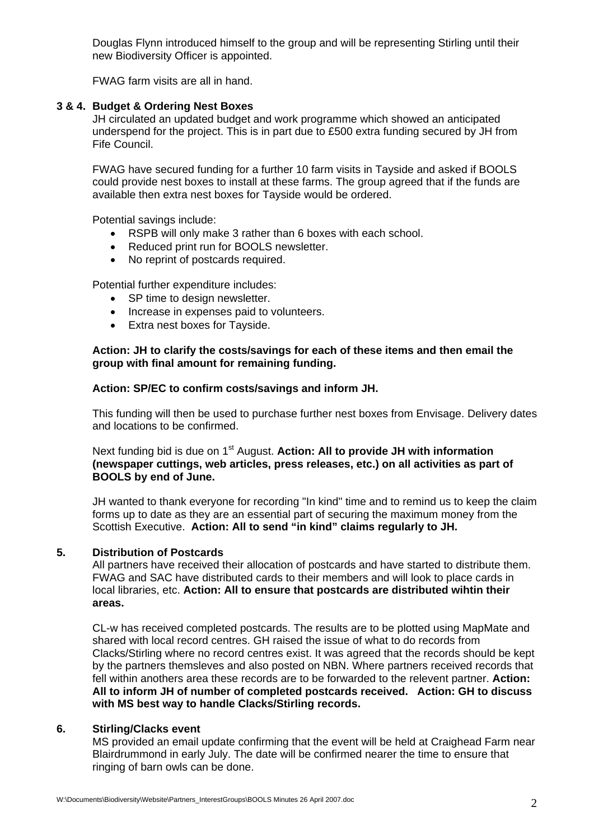Douglas Flynn introduced himself to the group and will be representing Stirling until their new Biodiversity Officer is appointed.

FWAG farm visits are all in hand.

### **3 & 4. Budget & Ordering Nest Boxes**

JH circulated an updated budget and work programme which showed an anticipated underspend for the project. This is in part due to £500 extra funding secured by JH from Fife Council.

FWAG have secured funding for a further 10 farm visits in Tayside and asked if BOOLS could provide nest boxes to install at these farms. The group agreed that if the funds are available then extra nest boxes for Tayside would be ordered.

Potential savings include:

- RSPB will only make 3 rather than 6 boxes with each school.
- Reduced print run for BOOLS newsletter.
- No reprint of postcards required.

Potential further expenditure includes:

- SP time to design newsletter.
- Increase in expenses paid to volunteers.
- Extra nest boxes for Tayside.

## **Action: JH to clarify the costs/savings for each of these items and then email the group with final amount for remaining funding.**

### **Action: SP/EC to confirm costs/savings and inform JH.**

This funding will then be used to purchase further nest boxes from Envisage. Delivery dates and locations to be confirmed.

## Next funding bid is due on 1<sup>st</sup> August. **Action: All to provide JH with information (newspaper cuttings, web articles, press releases, etc.) on all activities as part of BOOLS by end of June.**

JH wanted to thank everyone for recording "In kind" time and to remind us to keep the claim forms up to date as they are an essential part of securing the maximum money from the Scottish Executive. **Action: All to send "in kind" claims regularly to JH.** 

# **5. Distribution of Postcards**

All partners have received their allocation of postcards and have started to distribute them. FWAG and SAC have distributed cards to their members and will look to place cards in local libraries, etc. **Action: All to ensure that postcards are distributed wihtin their areas.**

CL-w has received completed postcards. The results are to be plotted using MapMate and shared with local record centres. GH raised the issue of what to do records from Clacks/Stirling where no record centres exist. It was agreed that the records should be kept by the partners themsleves and also posted on NBN. Where partners received records that fell within anothers area these records are to be forwarded to the relevent partner. **Action: All to inform JH of number of completed postcards received. Action: GH to discuss with MS best way to handle Clacks/Stirling records.**

#### **6. Stirling/Clacks event**

MS provided an email update confirming that the event will be held at Craighead Farm near Blairdrummond in early July. The date will be confirmed nearer the time to ensure that ringing of barn owls can be done.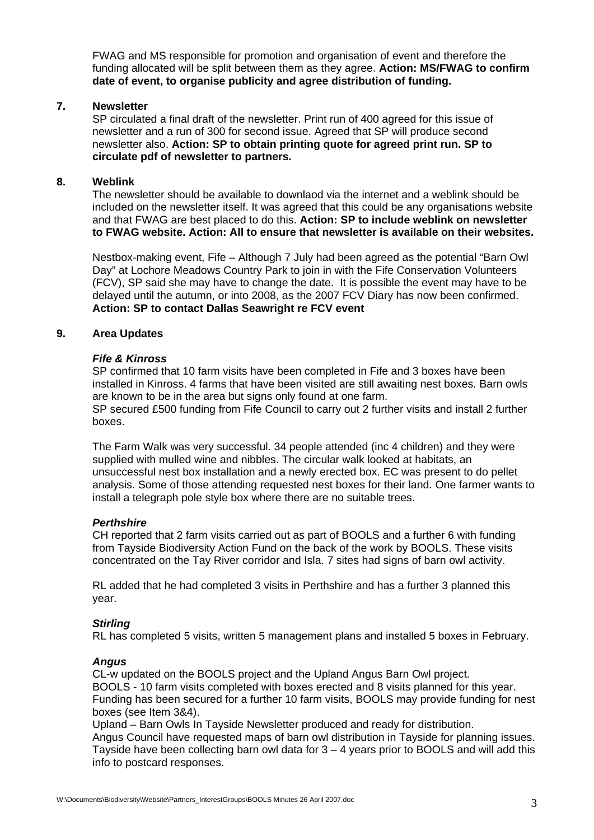FWAG and MS responsible for promotion and organisation of event and therefore the funding allocated will be split between them as they agree. **Action: MS/FWAG to confirm date of event, to organise publicity and agree distribution of funding.**

# **7. Newsletter**

SP circulated a final draft of the newsletter. Print run of 400 agreed for this issue of newsletter and a run of 300 for second issue. Agreed that SP will produce second newsletter also. **Action: SP to obtain printing quote for agreed print run. SP to circulate pdf of newsletter to partners.**

### **8. Weblink**

The newsletter should be available to downlaod via the internet and a weblink should be included on the newsletter itself. It was agreed that this could be any organisations website and that FWAG are best placed to do this. **Action: SP to include weblink on newsletter to FWAG website. Action: All to ensure that newsletter is available on their websites.**

Nestbox-making event, Fife – Although 7 July had been agreed as the potential "Barn Owl Day" at Lochore Meadows Country Park to join in with the Fife Conservation Volunteers (FCV), SP said she may have to change the date. It is possible the event may have to be delayed until the autumn, or into 2008, as the 2007 FCV Diary has now been confirmed. **Action: SP to contact Dallas Seawright re FCV event** 

### **9. Area Updates**

### *Fife & Kinross*

SP confirmed that 10 farm visits have been completed in Fife and 3 boxes have been installed in Kinross. 4 farms that have been visited are still awaiting nest boxes. Barn owls are known to be in the area but signs only found at one farm.

SP secured £500 funding from Fife Council to carry out 2 further visits and install 2 further boxes.

The Farm Walk was very successful. 34 people attended (inc 4 children) and they were supplied with mulled wine and nibbles. The circular walk looked at habitats, an unsuccessful nest box installation and a newly erected box. EC was present to do pellet analysis. Some of those attending requested nest boxes for their land. One farmer wants to install a telegraph pole style box where there are no suitable trees.

#### *Perthshire*

CH reported that 2 farm visits carried out as part of BOOLS and a further 6 with funding from Tayside Biodiversity Action Fund on the back of the work by BOOLS. These visits concentrated on the Tay River corridor and Isla. 7 sites had signs of barn owl activity.

RL added that he had completed 3 visits in Perthshire and has a further 3 planned this year.

#### *Stirling*

RL has completed 5 visits, written 5 management plans and installed 5 boxes in February.

#### *Angus*

CL-w updated on the BOOLS project and the Upland Angus Barn Owl project. BOOLS - 10 farm visits completed with boxes erected and 8 visits planned for this year. Funding has been secured for a further 10 farm visits, BOOLS may provide funding for nest boxes (see Item 3&4).

Upland – Barn Owls In Tayside Newsletter produced and ready for distribution. Angus Council have requested maps of barn owl distribution in Tayside for planning issues. Tayside have been collecting barn owl data for  $3 - 4$  years prior to BOOLS and will add this info to postcard responses.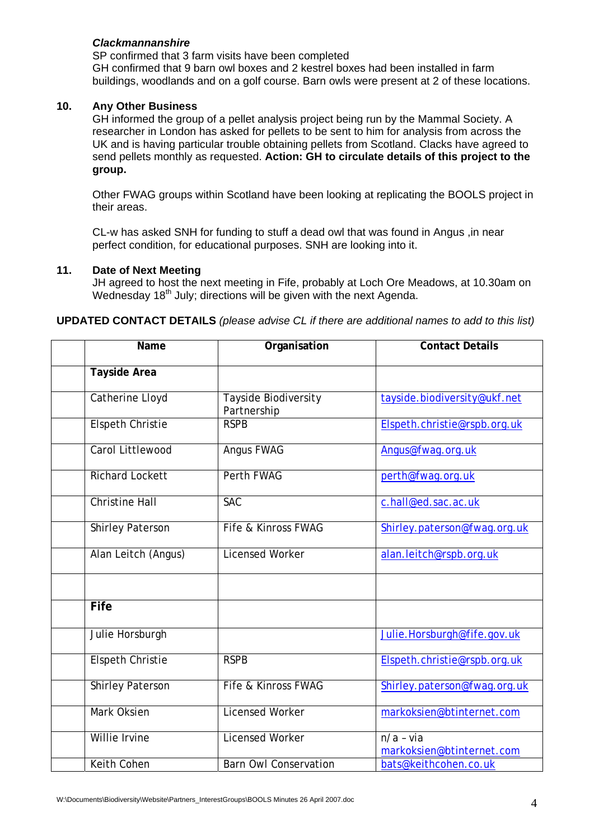# *Clackmannanshire*

SP confirmed that 3 farm visits have been completed GH confirmed that 9 barn owl boxes and 2 kestrel boxes had been installed in farm buildings, woodlands and on a golf course. Barn owls were present at 2 of these locations.

# **10. Any Other Business**

GH informed the group of a pellet analysis project being run by the Mammal Society. A researcher in London has asked for pellets to be sent to him for analysis from across the UK and is having particular trouble obtaining pellets from Scotland. Clacks have agreed to send pellets monthly as requested. **Action: GH to circulate details of this project to the group.**

Other FWAG groups within Scotland have been looking at replicating the BOOLS project in their areas.

CL-w has asked SNH for funding to stuff a dead owl that was found in Angus ,in near perfect condition, for educational purposes. SNH are looking into it.

### **11. Date of Next Meeting**

JH agreed to host the next meeting in Fife, probably at Loch Ore Meadows, at 10.30am on Wednesday 18<sup>th</sup> July; directions will be given with the next Agenda.

### **UPDATED CONTACT DETAILS** *(please advise CL if there are additional names to add to this list)*

| Name                    | Organisation                        | <b>Contact Details</b>                   |
|-------------------------|-------------------------------------|------------------------------------------|
| <b>Tayside Area</b>     |                                     |                                          |
| <b>Catherine Lloyd</b>  | Tayside Biodiversity<br>Partnership | tayside.biodiversity@ukf.net             |
| <b>Elspeth Christie</b> | <b>RSPB</b>                         | Elspeth.christie@rspb.org.uk             |
| Carol Littlewood        | Angus FWAG                          | Angus@fwag.org.uk                        |
| <b>Richard Lockett</b>  | <b>Perth FWAG</b>                   | perth@fwag.org.uk                        |
| <b>Christine Hall</b>   | <b>SAC</b>                          | c.hall@ed.sac.ac.uk                      |
| <b>Shirley Paterson</b> | Fife & Kinross FWAG                 | Shirley.paterson@fwag.org.uk             |
| Alan Leitch (Angus)     | <b>Licensed Worker</b>              | alan.leitch@rspb.org.uk                  |
|                         |                                     |                                          |
| <b>Fife</b>             |                                     |                                          |
| Julie Horsburgh         |                                     | Julie.Horsburgh@fife.gov.uk              |
| <b>Elspeth Christie</b> | <b>RSPB</b>                         | Elspeth.christie@rspb.org.uk             |
| <b>Shirley Paterson</b> | Fife & Kinross FWAG                 | Shirley.paterson@fwag.org.uk             |
| <b>Mark Oksien</b>      | <b>Licensed Worker</b>              | markoksien@btinternet.com                |
| Willie Irvine           | <b>Licensed Worker</b>              | $n/a - via$<br>markoksien@btinternet.com |
| <b>Keith Cohen</b>      | <b>Barn Owl Conservation</b>        | bats@keithcohen.co.uk                    |